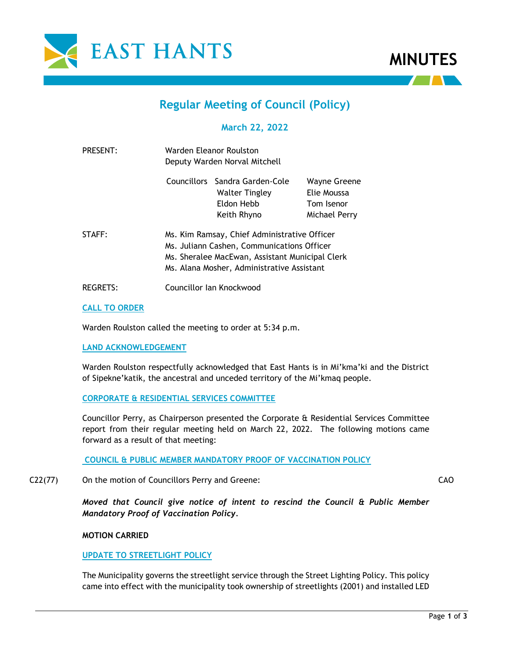

# **MINUTES**

# **Regular Meeting of Council (Policy)**

# **March 22, 2022**

| PRESENT:        | Warden Eleanor Roulston<br>Deputy Warden Norval Mitchell                                                                                                                                    |                                                                               |                                                            |
|-----------------|---------------------------------------------------------------------------------------------------------------------------------------------------------------------------------------------|-------------------------------------------------------------------------------|------------------------------------------------------------|
|                 |                                                                                                                                                                                             | Councillors Sandra Garden-Cole<br>Walter Tingley<br>Eldon Hebb<br>Keith Rhyno | Wayne Greene<br>Elie Moussa<br>Tom Isenor<br>Michael Perry |
| STAFF:          | Ms. Kim Ramsay, Chief Administrative Officer<br>Ms. Juliann Cashen, Communications Officer<br>Ms. Sheralee MacEwan, Assistant Municipal Clerk<br>Ms. Alana Mosher, Administrative Assistant |                                                                               |                                                            |
| <b>REGRETS:</b> | Councillor Ian Knockwood                                                                                                                                                                    |                                                                               |                                                            |

# **CALL TO ORDER**

Warden Roulston called the meeting to order at 5:34 p.m.

# **LAND ACKNOWLEDGEMENT**

Warden Roulston respectfully acknowledged that East Hants is in Mi'kma'ki and the District of Sipekne'katik, the ancestral and unceded territory of the Mi'kmaq people.

# **CORPORATE & RESIDENTIAL SERVICES COMMITTEE**

Councillor Perry, as Chairperson presented the Corporate & Residential Services Committee report from their regular meeting held on March 22, 2022. The following motions came forward as a result of that meeting:

**COUNCIL & PUBLIC MEMBER MANDATORY PROOF OF VACCINATION POLICY**

C22(77) On the motion of Councillors Perry and Greene:

*Moved that Council give notice of intent to rescind the Council & Public Member Mandatory Proof of Vaccination Policy.*

# **MOTION CARRIED**

# **UPDATE TO STREETLIGHT POLICY**

The Municipality governs the streetlight service through the Street Lighting Policy. This policy came into effect with the municipality took ownership of streetlights (2001) and installed LED

CAO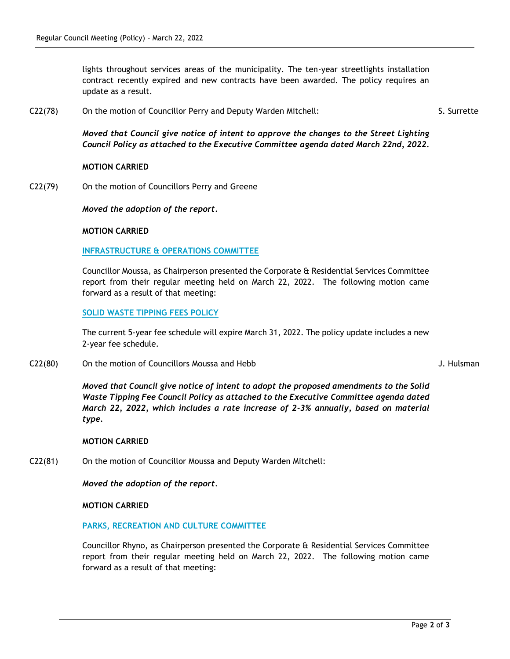lights throughout services areas of the municipality. The ten-year streetlights installation contract recently expired and new contracts have been awarded. The policy requires an update as a result.

C22(78) On the motion of Councillor Perry and Deputy Warden Mitchell:

S. Surrette

*Moved that Council give notice of intent to approve the changes to the Street Lighting Council Policy as attached to the Executive Committee agenda dated March 22nd, 2022.*

# **MOTION CARRIED**

C22(79) On the motion of Councillors Perry and Greene

*Moved the adoption of the report.*

# **MOTION CARRIED**

# **INFRASTRUCTURE & OPERATIONS COMMITTEE**

Councillor Moussa, as Chairperson presented the Corporate & Residential Services Committee report from their regular meeting held on March 22, 2022. The following motion came forward as a result of that meeting:

# **SOLID WASTE TIPPING FEES POLICY**

The current 5-year fee schedule will expire March 31, 2022. The policy update includes a new 2-year fee schedule.

C22(80) On the motion of Councillors Moussa and Hebb

J. Hulsman

*Moved that Council give notice of intent to adopt the proposed amendments to the Solid Waste Tipping Fee Council Policy as attached to the Executive Committee agenda dated March 22, 2022, which includes a rate increase of 2-3% annually, based on material type.*

# **MOTION CARRIED**

C22(81) On the motion of Councillor Moussa and Deputy Warden Mitchell:

*Moved the adoption of the report.*

# **MOTION CARRIED**

# **PARKS, RECREATION AND CULTURE COMMITTEE**

Councillor Rhyno, as Chairperson presented the Corporate & Residential Services Committee report from their regular meeting held on March 22, 2022. The following motion came forward as a result of that meeting: